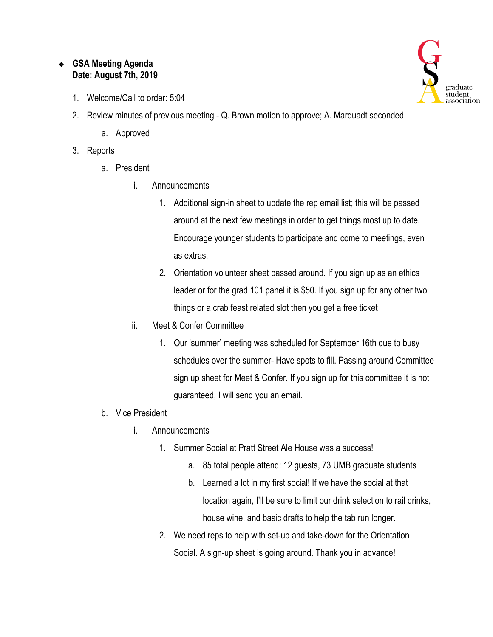## ❖ **GSA Meeting Agenda Date: August 7th, 2019**

1. Welcome/Call to order: 5:04



- 2. Review minutes of previous meeting Q. Brown motion to approve; A. Marquadt seconded.
	- a. Approved
- 3. Reports
	- a. President
		- i. Announcements
			- 1. Additional sign-in sheet to update the rep email list; this will be passed around at the next few meetings in order to get things most up to date. Encourage younger students to participate and come to meetings, even as extras.
			- 2. Orientation volunteer sheet passed around. If you sign up as an ethics leader or for the grad 101 panel it is \$50. If you sign up for any other two things or a crab feast related slot then you get a free ticket
		- ii. Meet & Confer Committee
			- 1. Our 'summer' meeting was scheduled for September 16th due to busy schedules over the summer- Have spots to fill. Passing around Committee sign up sheet for Meet & Confer. If you sign up for this committee it is not guaranteed, I will send you an email.
	- b. Vice President
		- i. Announcements
			- 1. Summer Social at Pratt Street Ale House was a success!
				- a. 85 total people attend: 12 guests, 73 UMB graduate students
				- b. Learned a lot in my first social! If we have the social at that location again, I'll be sure to limit our drink selection to rail drinks, house wine, and basic drafts to help the tab run longer.
			- 2. We need reps to help with set-up and take-down for the Orientation Social. A sign-up sheet is going around. Thank you in advance!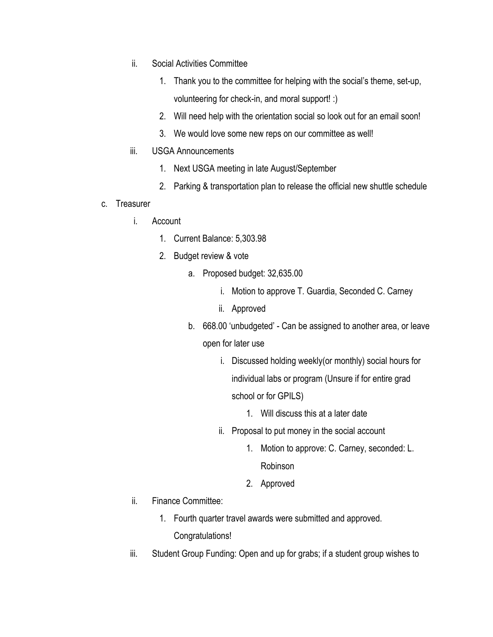- ii. Social Activities Committee
	- 1. Thank you to the committee for helping with the social's theme, set-up, volunteering for check-in, and moral support! :)
	- 2. Will need help with the orientation social so look out for an email soon!
	- 3. We would love some new reps on our committee as well!
- iii. USGA Announcements
	- 1. Next USGA meeting in late August/September
	- 2. Parking & transportation plan to release the official new shuttle schedule
- c. Treasurer
	- i. Account
		- 1. Current Balance: 5,303.98
		- 2. Budget review & vote
			- a. Proposed budget: 32,635.00
				- i. Motion to approve T. Guardia, Seconded C. Carney
				- ii. Approved
			- b. 668.00 'unbudgeted' Can be assigned to another area, or leave open for later use
				- i. Discussed holding weekly(or monthly) social hours for individual labs or program (Unsure if for entire grad school or for GPILS)
					- 1. Will discuss this at a later date
				- ii. Proposal to put money in the social account
					- 1. Motion to approve: C. Carney, seconded: L. Robinson
					- 2. Approved
	- ii. Finance Committee:
		- 1. Fourth quarter travel awards were submitted and approved. Congratulations!
	- iii. Student Group Funding: Open and up for grabs; if a student group wishes to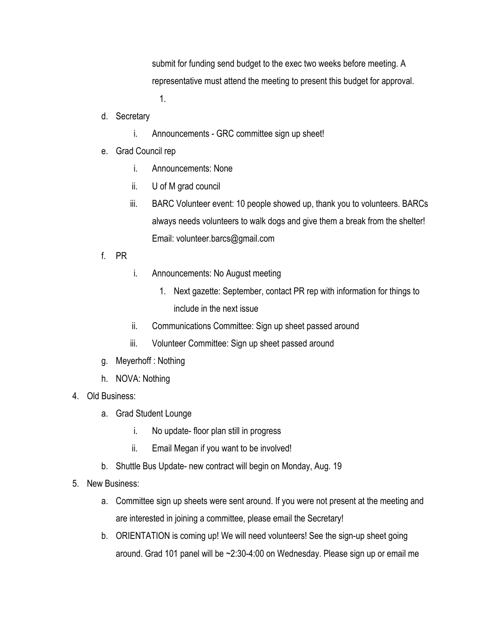submit for funding send budget to the exec two weeks before meeting. A representative must attend the meeting to present this budget for approval. 1.

- d. Secretary
	- i. Announcements GRC committee sign up sheet!
- e. Grad Council rep
	- i. Announcements: None
	- ii. U of M grad council
	- iii. BARC Volunteer event: 10 people showed up, thank you to volunteers. BARCs always needs volunteers to walk dogs and give them a break from the shelter! Email: volunteer.barcs@gmail.com
- f. PR
- i. Announcements: No August meeting
	- 1. Next gazette: September, contact PR rep with information for things to include in the next issue
- ii. Communications Committee: Sign up sheet passed around
- iii. Volunteer Committee: Sign up sheet passed around
- g. Meyerhoff : Nothing
- h. NOVA: Nothing
- 4. Old Business:
	- a. Grad Student Lounge
		- i. No update- floor plan still in progress
		- ii. Email Megan if you want to be involved!
	- b. Shuttle Bus Update- new contract will begin on Monday, Aug. 19
- 5. New Business:
	- a. Committee sign up sheets were sent around. If you were not present at the meeting and are interested in joining a committee, please email the Secretary!
	- b. ORIENTATION is coming up! We will need volunteers! See the sign-up sheet going around. Grad 101 panel will be ~2:30-4:00 on Wednesday. Please sign up or email me